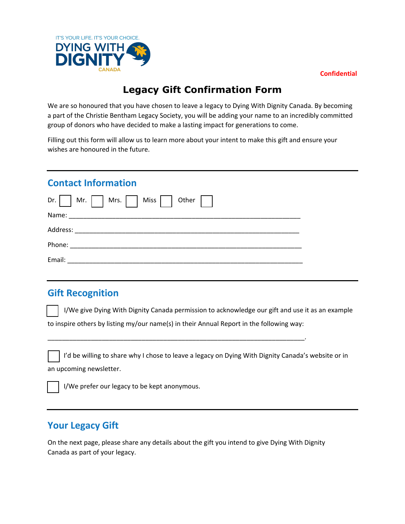



## **Legacy Gift Confirmation Form**

We are so honoured that you have chosen to leave a legacy to Dying With Dignity Canada. By becoming a part of the Christie Bentham Legacy Society, you will be adding your name to an incredibly committed group of donors who have decided to make a lasting impact for generations to come.

Filling out this form will allow us to learn more about your intent to make this gift and ensure your wishes are honoured in the future.

#### **Contact Information**

| Dr. Mr. Mrs. Miss Other |  |
|-------------------------|--|
|                         |  |
|                         |  |
|                         |  |
|                         |  |

#### **Gift Recognition**

I/We give Dying With Dignity Canada permission to acknowledge our gift and use it as an example to inspire others by listing my/our name(s) in their Annual Report in the following way:

\_\_\_\_\_\_\_\_\_\_\_\_\_\_\_\_\_\_\_\_\_\_\_\_\_\_\_\_\_\_\_\_\_\_\_\_\_\_\_\_\_\_\_\_\_\_\_\_\_\_\_\_\_\_\_\_\_\_\_\_\_\_\_\_\_\_\_\_\_\_\_.

I'd be willing to share why I chose to leave a legacy on Dying With Dignity Canada's website or in an upcoming newsletter.

I/We prefer our legacy to be kept anonymous.

## **Your Legacy Gift**

On the next page, please share any details about the gift you intend to give Dying With Dignity Canada as part of your legacy.